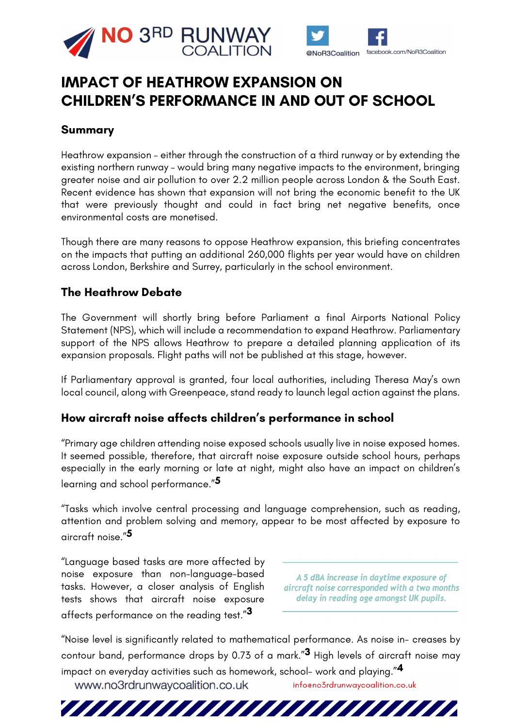



# **IMPACT OF HEATHROW EXPANSION ON CHILDREN'S PERFORMANCE IN AND OUT OF SCHOOL**

# **Summary**

Heathrow expansion – either through the construction of a third runway or by extending the existing northern runway – would bring many negative impacts to the environment, bringing greater noise and air pollution to over 2.2 million people across London & the South East. Recent evidence has shown that expansion will not bring the economic benefit to the UK that were previously thought and could in fact bring net negative benefits, once environmental costs are monetised.

Though there are many reasons to oppose Heathrow expansion, this briefing concentrates on the impacts that putting an additional 260,000 flights per year would have on children across London, Berkshire and Surrey, particularly in the school environment.

### **The Heathrow Debate**

The Government will shortly bring before Parliament a final Airports National Policy Statement (NPS), which will include a recommendation to expand Heathrow. Parliamentary support of the NPS allows Heathrow to prepare a detailed planning application of its expansion proposals. Flight paths will not be published at this stage, however.

If Parliamentary approval is granted, four local authorities, including Theresa May's own local council, along with Greenpeace, stand ready to launch legal action against the plans.

#### **How aircraft noise affects children's performance in school**

"Primary age children attending noise exposed schools usually live in noise exposed homes. It seemed possible, therefore, that aircraft noise exposure outside school hours, perhaps especially in the early morning or late at night, might also have an impact on children's learning and school performance."**5** 

"Tasks which involve central processing and language comprehension, such as reading, attention and problem solving and memory, appear to be most affected by exposure to aircraft noise."**5** 

"Language based tasks are more affected by noise exposure than non-language-based tasks. However, a closer analysis of English tests shows that aircraft noise exposure affects performance on the reading test."**3** 

A 5 dBA increase in daytime exposure of aircraft noise corresponded with a two months delay in reading age amongst UK pupils.

"Noise level is significantly related to mathematical performance. As noise in- creases by contour band, performance drops by 0.73 of a mark."**3** High levels of aircraft noise may impact on everyday activities such as homework, school- work and playing."**4** 

www.no3rdrunwaycoalition.co.uk

infoeno3rdrunwaycoalition.co.uk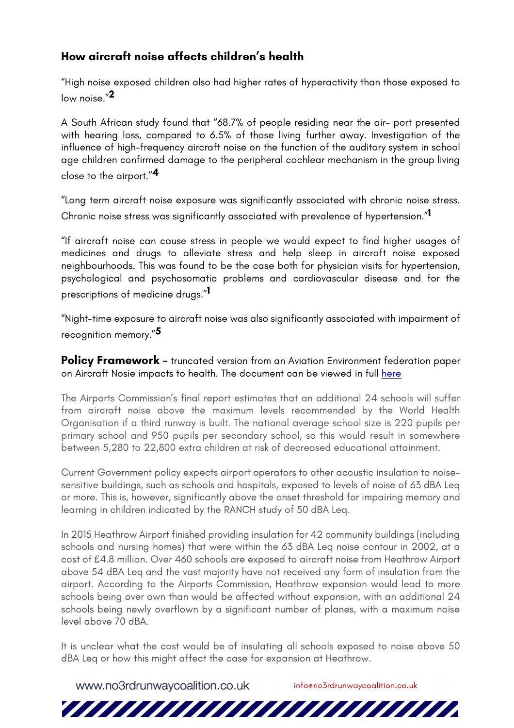# **How aircraft noise affects children's health**

"High noise exposed children also had higher rates of hyperactivity than those exposed to low noise."**2** 

A South African study found that "68.7% of people residing near the air- port presented with hearing loss, compared to 6.5% of those living further away. Investigation of the influence of high-frequency aircraft noise on the function of the auditory system in school age children confirmed damage to the peripheral cochlear mechanism in the group living close to the airport."**4** 

"Long term aircraft noise exposure was significantly associated with chronic noise stress. Chronic noise stress was significantly associated with prevalence of hypertension."**1** 

"If aircraft noise can cause stress in people we would expect to find higher usages of medicines and drugs to alleviate stress and help sleep in aircraft noise exposed neighbourhoods. This was found to be the case both for physician visits for hypertension, psychological and psychosomatic problems and cardiovascular disease and for the prescriptions of medicine drugs."**1** 

"Night-time exposure to aircraft noise was also significantly associated with impairment of recognition memory."**5** 

**Policy Framework** – truncated version from an Aviation Environment federation paper on Aircraft Nosie impacts to health. The document can be viewed in full here

The Airports Commission's final report estimates that an additional 24 schools will suffer from aircraft noise above the maximum levels recommended by the World Health Organisation if a third runway is built. The national average school size is 220 pupils per primary school and 950 pupils per secondary school, so this would result in somewhere between 5,280 to 22,800 extra children at risk of decreased educational attainment.

Current Government policy expects airport operators to other acoustic insulation to noisesensitive buildings, such as schools and hospitals, exposed to levels of noise of 63 dBA Leq or more. This is, however, significantly above the onset threshold for impairing memory and learning in children indicated by the RANCH study of 50 dBA Leq.

In 2015 Heathrow Airport finished providing insulation for 42 community buildings (including schools and nursing homes) that were within the 63 dBA Leq noise contour in 2002, at a cost of £4.8 million. Over 460 schools are exposed to aircraft noise from Heathrow Airport above 54 dBA Leq and the vast majority have not received any form of insulation from the airport. According to the Airports Commission, Heathrow expansion would lead to more schools being over own than would be affected without expansion, with an additional 24 schools being newly overflown by a significant number of planes, with a maximum noise level above 70 dBA.

It is unclear what the cost would be of insulating all schools exposed to noise above 50 dBA Leq or how this might affect the case for expansion at Heathrow.

an mananan manananan

www.no3rdrunwaycoalition.co.uk infoeno3rdrunwaycoalition.co.uk